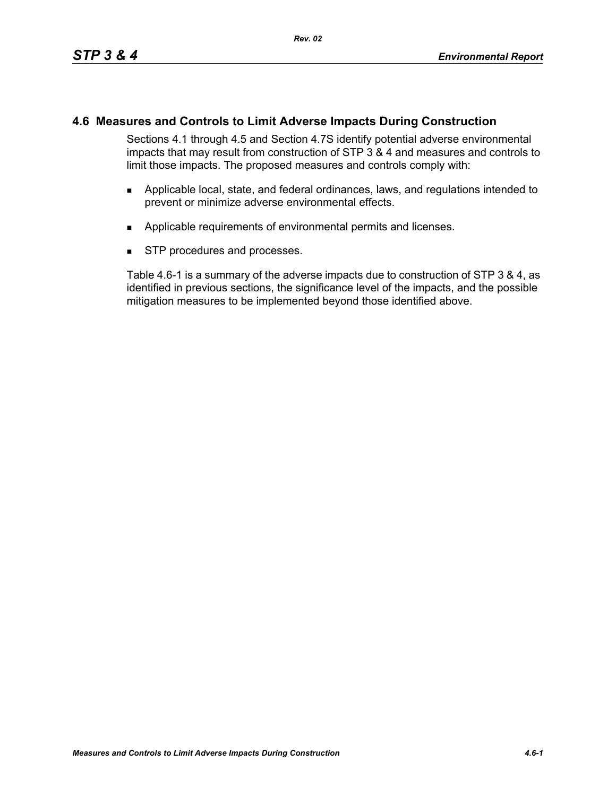## **4.6 Measures and Controls to Limit Adverse Impacts During Construction**

Sections 4.1 through 4.5 and Section 4.7S identify potential adverse environmental impacts that may result from construction of STP 3 & 4 and measures and controls to limit those impacts. The proposed measures and controls comply with:

- Applicable local, state, and federal ordinances, laws, and regulations intended to prevent or minimize adverse environmental effects.
- **Applicable requirements of environmental permits and licenses.**
- **STP** procedures and processes.

Table 4.6-1 is a summary of the adverse impacts due to construction of STP 3 & 4, as identified in previous sections, the significance level of the impacts, and the possible mitigation measures to be implemented beyond those identified above.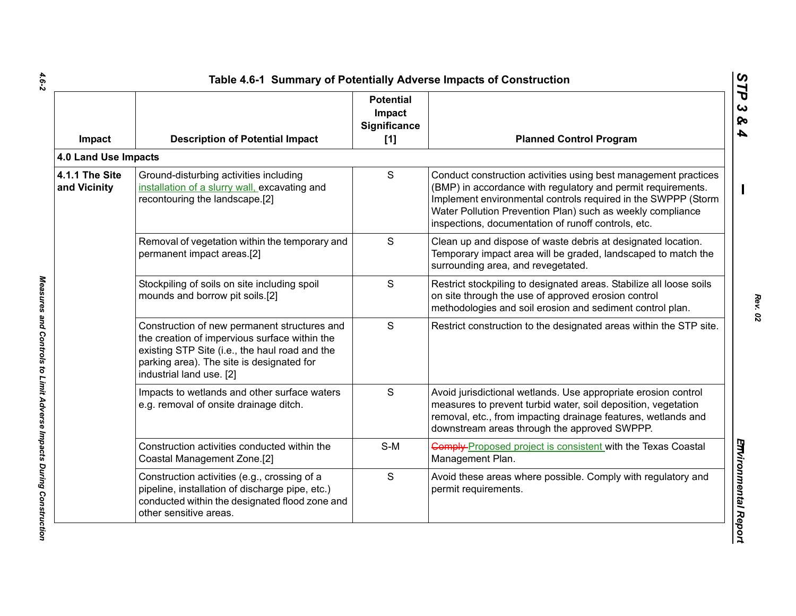| Impact                         | <b>Description of Potential Impact</b>                                                                                                                                                                                   | <b>Potential</b><br>Impact<br><b>Significance</b><br>$[1]$ | <b>Planned Control Program</b>                                                                                                                                                                                                                                                                                        |
|--------------------------------|--------------------------------------------------------------------------------------------------------------------------------------------------------------------------------------------------------------------------|------------------------------------------------------------|-----------------------------------------------------------------------------------------------------------------------------------------------------------------------------------------------------------------------------------------------------------------------------------------------------------------------|
| 4.0 Land Use Impacts           |                                                                                                                                                                                                                          |                                                            |                                                                                                                                                                                                                                                                                                                       |
| 4.1.1 The Site<br>and Vicinity | Ground-disturbing activities including<br>installation of a slurry wall, excavating and<br>recontouring the landscape.[2]                                                                                                | S                                                          | Conduct construction activities using best management practices<br>(BMP) in accordance with regulatory and permit requirements.<br>Implement environmental controls required in the SWPPP (Storm<br>Water Pollution Prevention Plan) such as weekly compliance<br>inspections, documentation of runoff controls, etc. |
|                                | Removal of vegetation within the temporary and<br>permanent impact areas.[2]                                                                                                                                             | S                                                          | Clean up and dispose of waste debris at designated location.<br>Temporary impact area will be graded, landscaped to match the<br>surrounding area, and revegetated.                                                                                                                                                   |
|                                | Stockpiling of soils on site including spoil<br>mounds and borrow pit soils.[2]                                                                                                                                          | S                                                          | Restrict stockpiling to designated areas. Stabilize all loose soils<br>on site through the use of approved erosion control<br>methodologies and soil erosion and sediment control plan.                                                                                                                               |
|                                | Construction of new permanent structures and<br>the creation of impervious surface within the<br>existing STP Site (i.e., the haul road and the<br>parking area). The site is designated for<br>industrial land use. [2] | S                                                          | Restrict construction to the designated areas within the STP site.                                                                                                                                                                                                                                                    |
|                                | Impacts to wetlands and other surface waters<br>e.g. removal of onsite drainage ditch.                                                                                                                                   | S                                                          | Avoid jurisdictional wetlands. Use appropriate erosion control<br>measures to prevent turbid water, soil deposition, vegetation<br>removal, etc., from impacting drainage features, wetlands and<br>downstream areas through the approved SWPPP.                                                                      |
|                                | Construction activities conducted within the<br>Coastal Management Zone.[2]                                                                                                                                              | S-M                                                        | <b>Comply-Proposed project is consistent with the Texas Coastal</b><br>Management Plan.                                                                                                                                                                                                                               |
|                                | Construction activities (e.g., crossing of a<br>pipeline, installation of discharge pipe, etc.)<br>conducted within the designated flood zone and<br>other sensitive areas.                                              | S                                                          | Avoid these areas where possible. Comply with regulatory and<br>permit requirements.                                                                                                                                                                                                                                  |

 $4.6 - 2$ *4.6-2 Measures and Controls to Limit Adverse Impacts During Construction* 

Measures and Controls to Limit Adverse Impacts During Construction

L

*Rev. 02*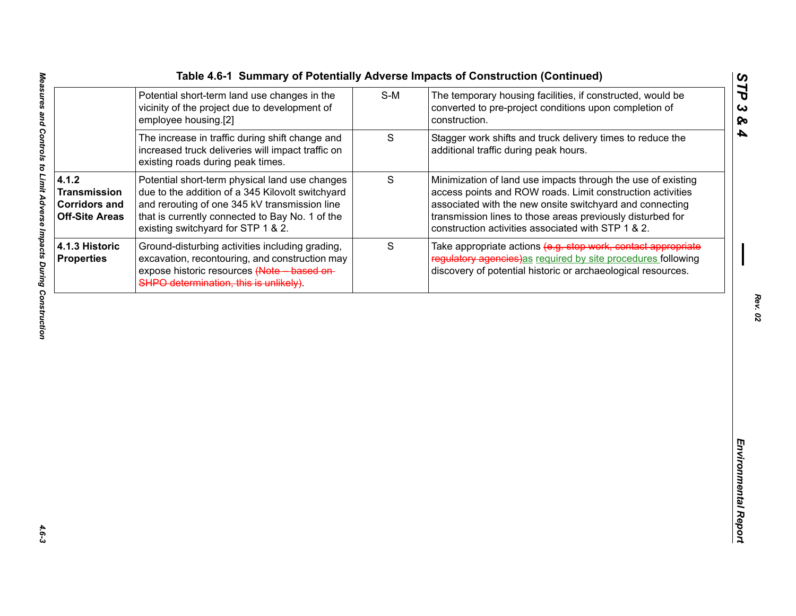|  | Table 4.6-1 Summary of Potentially Adverse Impacts of Construction (Continue |  |  |  |  |  |  |
|--|------------------------------------------------------------------------------|--|--|--|--|--|--|
|--|------------------------------------------------------------------------------|--|--|--|--|--|--|

|                                                                               |                                                                                                                                                                                                                                              |             | Table 4.6-1 Summary of Potentially Adverse Impacts of Construction (Continued)                                                                                                                                                                                                                             |
|-------------------------------------------------------------------------------|----------------------------------------------------------------------------------------------------------------------------------------------------------------------------------------------------------------------------------------------|-------------|------------------------------------------------------------------------------------------------------------------------------------------------------------------------------------------------------------------------------------------------------------------------------------------------------------|
|                                                                               | Potential short-term land use changes in the<br>vicinity of the project due to development of<br>employee housing.[2]                                                                                                                        | $S-M$       | The temporary housing facilities, if constructed, would be<br>converted to pre-project conditions upon completion of<br>construction.                                                                                                                                                                      |
|                                                                               | The increase in traffic during shift change and<br>increased truck deliveries will impact traffic on<br>existing roads during peak times.                                                                                                    | S           | Stagger work shifts and truck delivery times to reduce the<br>additional traffic during peak hours.                                                                                                                                                                                                        |
| 4.1.2<br><b>Transmission</b><br><b>Corridors and</b><br><b>Off-Site Areas</b> | Potential short-term physical land use changes<br>due to the addition of a 345 Kilovolt switchyard<br>and rerouting of one 345 kV transmission line<br>that is currently connected to Bay No. 1 of the<br>existing switchyard for STP 1 & 2. | $\mathsf S$ | Minimization of land use impacts through the use of existing<br>access points and ROW roads. Limit construction activities<br>associated with the new onsite switchyard and connecting<br>transmission lines to those areas previously disturbed for<br>construction activities associated with STP 1 & 2. |
| <b>4.1.3 Historic</b><br><b>Properties</b>                                    | Ground-disturbing activities including grading,<br>excavation, recontouring, and construction may<br>expose historic resources (Note based on-<br>SHPO determination, this is unlikely).                                                     | S           | Take appropriate actions (e.g. stop work, contact appropriate<br>regulatory agencies)as required by site procedures following<br>discovery of potential historic or archaeological resources.                                                                                                              |
|                                                                               |                                                                                                                                                                                                                                              |             |                                                                                                                                                                                                                                                                                                            |
|                                                                               |                                                                                                                                                                                                                                              |             |                                                                                                                                                                                                                                                                                                            |
|                                                                               |                                                                                                                                                                                                                                              |             |                                                                                                                                                                                                                                                                                                            |
|                                                                               |                                                                                                                                                                                                                                              |             |                                                                                                                                                                                                                                                                                                            |
|                                                                               |                                                                                                                                                                                                                                              |             |                                                                                                                                                                                                                                                                                                            |

*Rev. 02*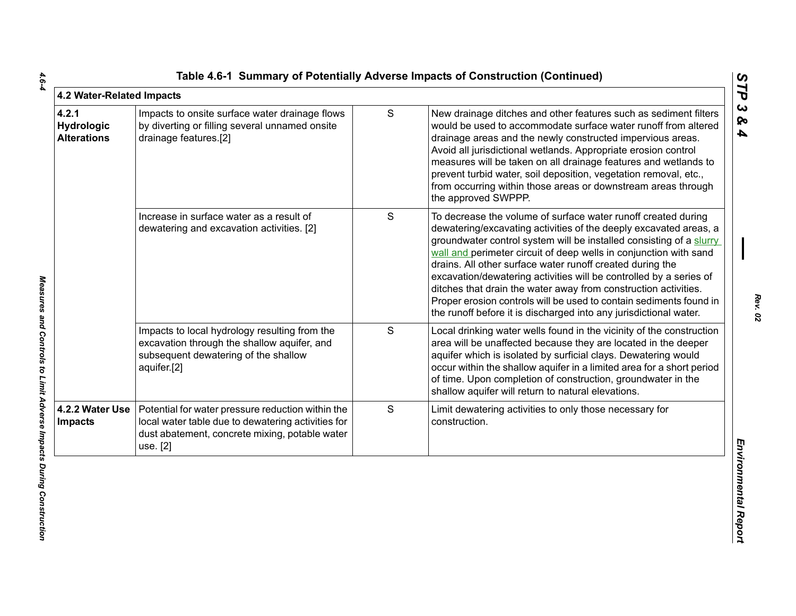| 4.2 Water-Related Impacts                        |                                                                                                                                                                       |   | Table 4.6-1 Summary of Potentially Adverse Impacts of Construction (Continued)                                                                                                                                                                                                                                                                                                                                                                                                                                                                                                                                                  |
|--------------------------------------------------|-----------------------------------------------------------------------------------------------------------------------------------------------------------------------|---|---------------------------------------------------------------------------------------------------------------------------------------------------------------------------------------------------------------------------------------------------------------------------------------------------------------------------------------------------------------------------------------------------------------------------------------------------------------------------------------------------------------------------------------------------------------------------------------------------------------------------------|
| 4.2.1<br><b>Hydrologic</b><br><b>Alterations</b> | Impacts to onsite surface water drainage flows<br>by diverting or filling several unnamed onsite<br>drainage features.[2]                                             | S | New drainage ditches and other features such as sediment filters<br>would be used to accommodate surface water runoff from altered<br>drainage areas and the newly constructed impervious areas.<br>Avoid all jurisdictional wetlands. Appropriate erosion control<br>measures will be taken on all drainage features and wetlands to<br>prevent turbid water, soil deposition, vegetation removal, etc.,<br>from occurring within those areas or downstream areas through<br>the approved SWPPP.                                                                                                                               |
|                                                  | Increase in surface water as a result of<br>dewatering and excavation activities. [2]                                                                                 | S | To decrease the volume of surface water runoff created during<br>dewatering/excavating activities of the deeply excavated areas, a<br>groundwater control system will be installed consisting of a slurry<br>wall and perimeter circuit of deep wells in conjunction with sand<br>drains. All other surface water runoff created during the<br>excavation/dewatering activities will be controlled by a series of<br>ditches that drain the water away from construction activities.<br>Proper erosion controls will be used to contain sediments found in<br>the runoff before it is discharged into any jurisdictional water. |
|                                                  | Impacts to local hydrology resulting from the<br>excavation through the shallow aquifer, and<br>subsequent dewatering of the shallow<br>aquifer.[2]                   | S | Local drinking water wells found in the vicinity of the construction<br>area will be unaffected because they are located in the deeper<br>aquifer which is isolated by surficial clays. Dewatering would<br>occur within the shallow aquifer in a limited area for a short period<br>of time. Upon completion of construction, groundwater in the<br>shallow aquifer will return to natural elevations.                                                                                                                                                                                                                         |
| 4.2.2 Water Use<br><b>Impacts</b>                | Potential for water pressure reduction within the<br>local water table due to dewatering activities for<br>dust abatement, concrete mixing, potable water<br>use. [2] | S | Limit dewatering activities to only those necessary for<br>construction.                                                                                                                                                                                                                                                                                                                                                                                                                                                                                                                                                        |
|                                                  |                                                                                                                                                                       |   |                                                                                                                                                                                                                                                                                                                                                                                                                                                                                                                                                                                                                                 |

 $4.6 - 4$ 

*Rev. 02*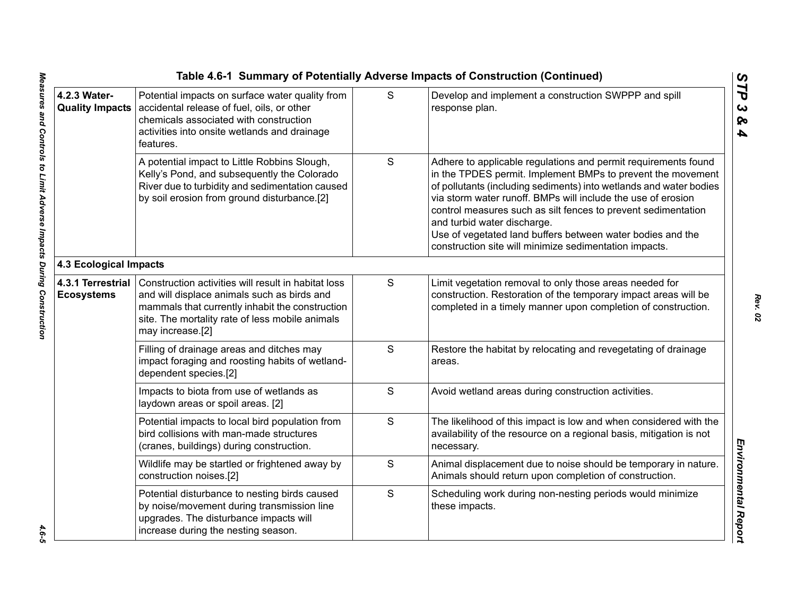|                                        |                                                                                                                                                                                                                              |   | Table 4.6-1 Summary of Potentially Adverse Impacts of Construction (Continued)                                                                                                                                                                                                                                                                                                                                                                                                              |
|----------------------------------------|------------------------------------------------------------------------------------------------------------------------------------------------------------------------------------------------------------------------------|---|---------------------------------------------------------------------------------------------------------------------------------------------------------------------------------------------------------------------------------------------------------------------------------------------------------------------------------------------------------------------------------------------------------------------------------------------------------------------------------------------|
| 4.2.3 Water-<br><b>Quality Impacts</b> | Potential impacts on surface water quality from<br>accidental release of fuel, oils, or other<br>chemicals associated with construction<br>activities into onsite wetlands and drainage<br>features.                         | S | Develop and implement a construction SWPPP and spill<br>response plan.                                                                                                                                                                                                                                                                                                                                                                                                                      |
|                                        | A potential impact to Little Robbins Slough,<br>Kelly's Pond, and subsequently the Colorado<br>River due to turbidity and sedimentation caused<br>by soil erosion from ground disturbance.[2]                                | S | Adhere to applicable regulations and permit requirements found<br>in the TPDES permit. Implement BMPs to prevent the movement<br>of pollutants (including sediments) into wetlands and water bodies<br>via storm water runoff. BMPs will include the use of erosion<br>control measures such as silt fences to prevent sedimentation<br>and turbid water discharge.<br>Use of vegetated land buffers between water bodies and the<br>construction site will minimize sedimentation impacts. |
| 4.3 Ecological Impacts                 |                                                                                                                                                                                                                              |   |                                                                                                                                                                                                                                                                                                                                                                                                                                                                                             |
| 4.3.1 Terrestrial<br><b>Ecosystems</b> | Construction activities will result in habitat loss<br>and will displace animals such as birds and<br>mammals that currently inhabit the construction<br>site. The mortality rate of less mobile animals<br>may increase.[2] | S | Limit vegetation removal to only those areas needed for<br>construction. Restoration of the temporary impact areas will be<br>completed in a timely manner upon completion of construction.                                                                                                                                                                                                                                                                                                 |
|                                        | Filling of drainage areas and ditches may<br>impact foraging and roosting habits of wetland-<br>dependent species.[2]                                                                                                        | S | Restore the habitat by relocating and revegetating of drainage<br>areas.                                                                                                                                                                                                                                                                                                                                                                                                                    |
|                                        | Impacts to biota from use of wetlands as<br>laydown areas or spoil areas. [2]                                                                                                                                                | S | Avoid wetland areas during construction activities.                                                                                                                                                                                                                                                                                                                                                                                                                                         |
|                                        | Potential impacts to local bird population from<br>bird collisions with man-made structures<br>(cranes, buildings) during construction.                                                                                      | S | The likelihood of this impact is low and when considered with the<br>availability of the resource on a regional basis, mitigation is not<br>necessary.                                                                                                                                                                                                                                                                                                                                      |
|                                        | Wildlife may be startled or frightened away by<br>construction noises.[2]                                                                                                                                                    | S | Animal displacement due to noise should be temporary in nature.<br>Animals should return upon completion of construction.                                                                                                                                                                                                                                                                                                                                                                   |
|                                        | Potential disturbance to nesting birds caused<br>by noise/movement during transmission line<br>upgrades. The disturbance impacts will<br>increase during the nesting season.                                                 | S | Scheduling work during non-nesting periods would minimize<br>these impacts.                                                                                                                                                                                                                                                                                                                                                                                                                 |
|                                        |                                                                                                                                                                                                                              |   |                                                                                                                                                                                                                                                                                                                                                                                                                                                                                             |

 $4.6 - 5$ 

*Rev. 02*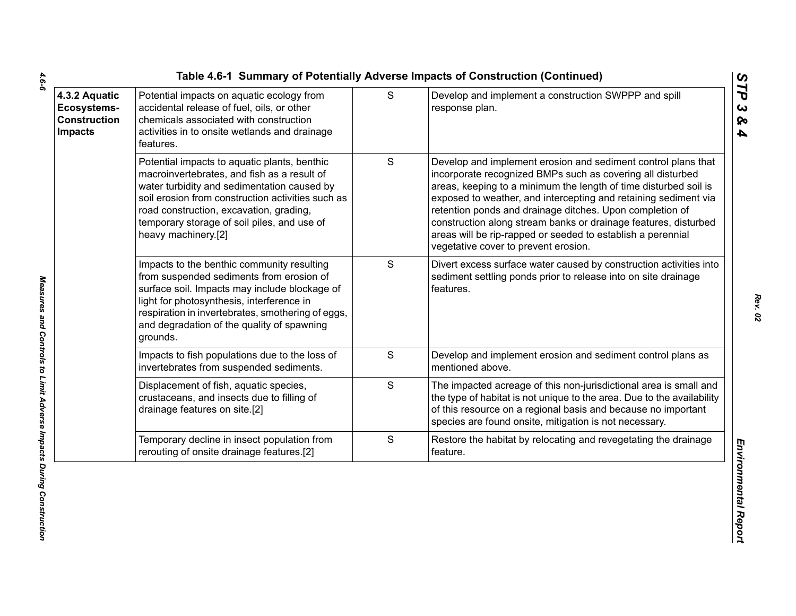| 4.3.2 Aquatic<br>Ecosystems-<br><b>Construction</b><br><b>Impacts</b> | Potential impacts on aquatic ecology from<br>accidental release of fuel, oils, or other<br>chemicals associated with construction<br>activities in to onsite wetlands and drainage<br>features.                                                                                                                  | S             | Develop and implement a construction SWPPP and spill<br>response plan.                                                                                                                                                                                                                                                                                                                                                                                                                                   |
|-----------------------------------------------------------------------|------------------------------------------------------------------------------------------------------------------------------------------------------------------------------------------------------------------------------------------------------------------------------------------------------------------|---------------|----------------------------------------------------------------------------------------------------------------------------------------------------------------------------------------------------------------------------------------------------------------------------------------------------------------------------------------------------------------------------------------------------------------------------------------------------------------------------------------------------------|
|                                                                       | Potential impacts to aquatic plants, benthic<br>macroinvertebrates, and fish as a result of<br>water turbidity and sedimentation caused by<br>soil erosion from construction activities such as<br>road construction, excavation, grading,<br>temporary storage of soil piles, and use of<br>heavy machinery.[2] | ${\mathsf S}$ | Develop and implement erosion and sediment control plans that<br>incorporate recognized BMPs such as covering all disturbed<br>areas, keeping to a minimum the length of time disturbed soil is<br>exposed to weather, and intercepting and retaining sediment via<br>retention ponds and drainage ditches. Upon completion of<br>construction along stream banks or drainage features, disturbed<br>areas will be rip-rapped or seeded to establish a perennial<br>vegetative cover to prevent erosion. |
|                                                                       | Impacts to the benthic community resulting<br>from suspended sediments from erosion of<br>surface soil. Impacts may include blockage of<br>light for photosynthesis, interference in<br>respiration in invertebrates, smothering of eggs,<br>and degradation of the quality of spawning<br>grounds.              | S             | Divert excess surface water caused by construction activities into<br>sediment settling ponds prior to release into on site drainage<br>features.                                                                                                                                                                                                                                                                                                                                                        |
|                                                                       | Impacts to fish populations due to the loss of<br>invertebrates from suspended sediments.                                                                                                                                                                                                                        | S             | Develop and implement erosion and sediment control plans as<br>mentioned above.                                                                                                                                                                                                                                                                                                                                                                                                                          |
|                                                                       | Displacement of fish, aquatic species,<br>crustaceans, and insects due to filling of<br>drainage features on site.[2]                                                                                                                                                                                            | S             | The impacted acreage of this non-jurisdictional area is small and<br>the type of habitat is not unique to the area. Due to the availability<br>of this resource on a regional basis and because no important<br>species are found onsite, mitigation is not necessary.                                                                                                                                                                                                                                   |
|                                                                       | Temporary decline in insect population from<br>rerouting of onsite drainage features.[2]                                                                                                                                                                                                                         | ${\mathsf S}$ | Restore the habitat by relocating and revegetating the drainage<br>feature.                                                                                                                                                                                                                                                                                                                                                                                                                              |

 $4.6 - 6$ 

*Rev. 02*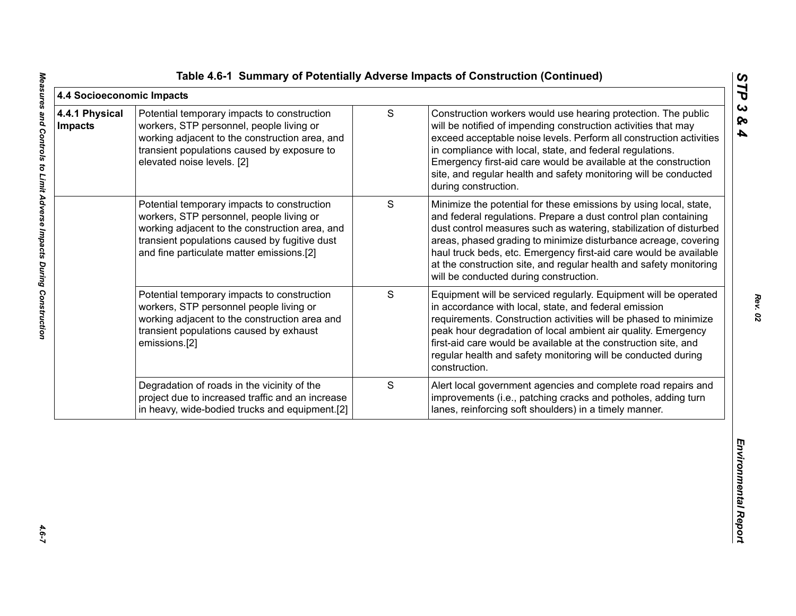|  |  |  |  |  | Table 4.6-1 Summary of Potentially Adverse Impacts of Construction (Continued) |  |
|--|--|--|--|--|--------------------------------------------------------------------------------|--|
|--|--|--|--|--|--------------------------------------------------------------------------------|--|

|                                  |                                                                                                                                                                                                                                         |               | Table 4.6-1 Summary of Potentially Adverse Impacts of Construction (Continued)                                                                                                                                                                                                                                                                                                                                                                                     | ပ                                 |
|----------------------------------|-----------------------------------------------------------------------------------------------------------------------------------------------------------------------------------------------------------------------------------------|---------------|--------------------------------------------------------------------------------------------------------------------------------------------------------------------------------------------------------------------------------------------------------------------------------------------------------------------------------------------------------------------------------------------------------------------------------------------------------------------|-----------------------------------|
| 4.4 Socioeconomic Impacts        |                                                                                                                                                                                                                                         |               |                                                                                                                                                                                                                                                                                                                                                                                                                                                                    | Ë                                 |
| 4.4.1 Physical<br><b>Impacts</b> | Potential temporary impacts to construction<br>workers, STP personnel, people living or<br>working adjacent to the construction area, and<br>transient populations caused by exposure to<br>elevated noise levels. [2]                  | $\mathbf S$   | Construction workers would use hearing protection. The public<br>will be notified of impending construction activities that may<br>exceed acceptable noise levels. Perform all construction activities<br>in compliance with local, state, and federal regulations.<br>Emergency first-aid care would be available at the construction<br>site, and regular health and safety monitoring will be conducted<br>during construction.                                 | $\boldsymbol{\omega}$<br>ନ୍ତ<br>4 |
|                                  | Potential temporary impacts to construction<br>workers, STP personnel, people living or<br>working adjacent to the construction area, and<br>transient populations caused by fugitive dust<br>and fine particulate matter emissions.[2] | ${\mathsf S}$ | Minimize the potential for these emissions by using local, state,<br>and federal regulations. Prepare a dust control plan containing<br>dust control measures such as watering, stabilization of disturbed<br>areas, phased grading to minimize disturbance acreage, covering<br>haul truck beds, etc. Emergency first-aid care would be available<br>at the construction site, and regular health and safety monitoring<br>will be conducted during construction. |                                   |
|                                  | Potential temporary impacts to construction<br>workers, STP personnel people living or<br>working adjacent to the construction area and<br>transient populations caused by exhaust<br>emissions.[2]                                     | S             | Equipment will be serviced regularly. Equipment will be operated<br>in accordance with local, state, and federal emission<br>requirements. Construction activities will be phased to minimize<br>peak hour degradation of local ambient air quality. Emergency<br>first-aid care would be available at the construction site, and<br>regular health and safety monitoring will be conducted during<br>construction.                                                |                                   |
|                                  | Degradation of roads in the vicinity of the<br>project due to increased traffic and an increase<br>in heavy, wide-bodied trucks and equipment.[2]                                                                                       | S             | Alert local government agencies and complete road repairs and<br>improvements (i.e., patching cracks and potholes, adding turn<br>lanes, reinforcing soft shoulders) in a timely manner.                                                                                                                                                                                                                                                                           |                                   |
|                                  |                                                                                                                                                                                                                                         |               |                                                                                                                                                                                                                                                                                                                                                                                                                                                                    | Environmental Report              |

*Rev. 02*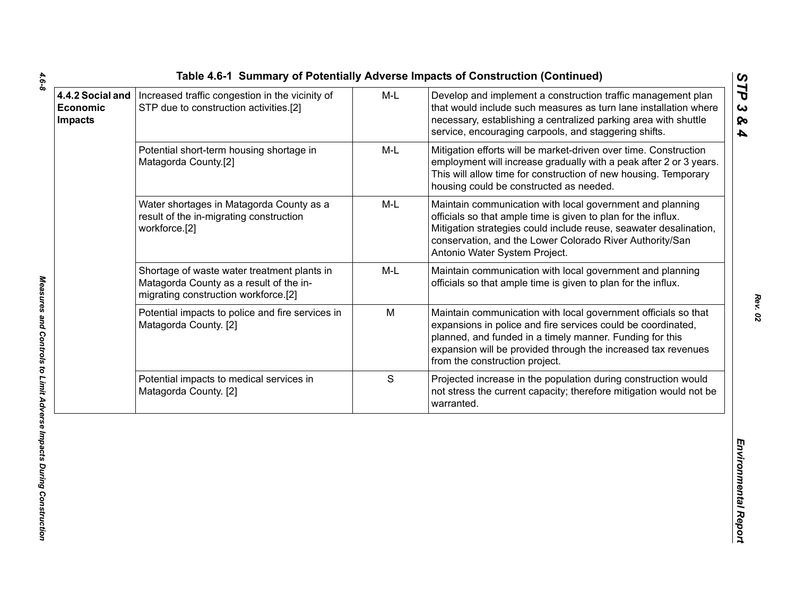| STP due to construction activities.[2]                                                                                         | $M-L$         | Develop and implement a construction traffic management plan<br>that would include such measures as turn lane installation where<br>necessary, establishing a centralized parking area with shuttle<br>service, encouraging carpools, and staggering shifts.                                  |
|--------------------------------------------------------------------------------------------------------------------------------|---------------|-----------------------------------------------------------------------------------------------------------------------------------------------------------------------------------------------------------------------------------------------------------------------------------------------|
| Potential short-term housing shortage in<br>Matagorda County.[2]                                                               | M-L           | Mitigation efforts will be market-driven over time. Construction<br>employment will increase gradually with a peak after 2 or 3 years.<br>This will allow time for construction of new housing. Temporary<br>housing could be constructed as needed.                                          |
| Water shortages in Matagorda County as a<br>result of the in-migrating construction<br>workforce.[2]                           | $M-L$         | Maintain communication with local government and planning<br>officials so that ample time is given to plan for the influx.<br>Mitigation strategies could include reuse, seawater desalination,<br>conservation, and the Lower Colorado River Authority/San<br>Antonio Water System Project.  |
| Shortage of waste water treatment plants in<br>Matagorda County as a result of the in-<br>migrating construction workforce.[2] | M-L           | Maintain communication with local government and planning<br>officials so that ample time is given to plan for the influx.                                                                                                                                                                    |
| Potential impacts to police and fire services in<br>Matagorda County. [2]                                                      | M             | Maintain communication with local government officials so that<br>expansions in police and fire services could be coordinated,<br>planned, and funded in a timely manner. Funding for this<br>expansion will be provided through the increased tax revenues<br>from the construction project. |
| Potential impacts to medical services in<br>Matagorda County. [2]                                                              | ${\mathsf S}$ | Projected increase in the population during construction would<br>not stress the current capacity; therefore mitigation would not be<br>warranted.                                                                                                                                            |